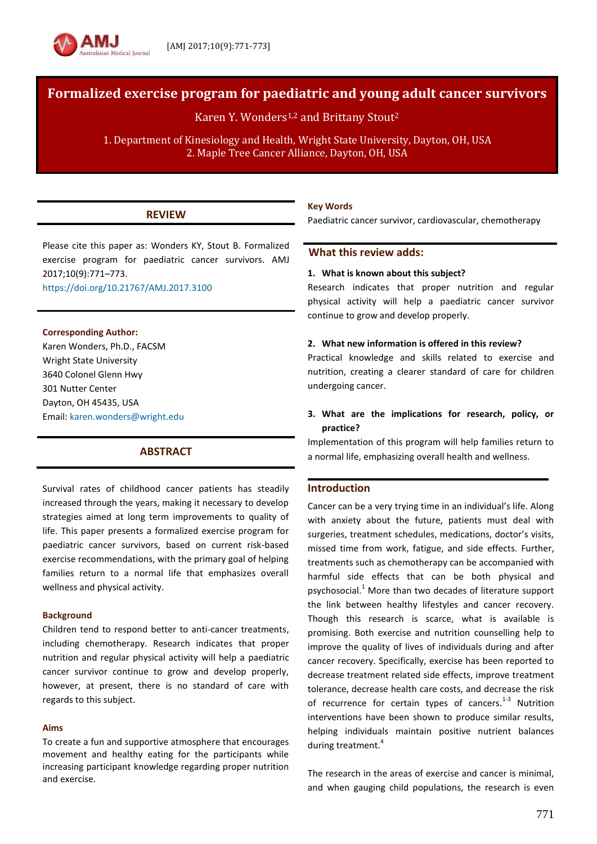# **Formalized exercise program for paediatric and young adult cancer survivors**

Karen Y. Wonders<sup>1,2</sup> and Brittany Stout<sup>2</sup>

1. Department of Kinesiology and Health, Wright State University, Dayton, OH, USA 2. Maple Tree Cancer Alliance, Dayton, OH, USA

# **REVIEW**

Please cite this paper as: Wonders KY, Stout B. Formalized exercise program for paediatric cancer survivors. AMJ 2017;10(9):771–773.

<https://doi.org/10.21767/AMJ.2017.3100>

### **Corresponding Author:**

Karen Wonders, Ph.D., FACSM Wright State University 3640 Colonel Glenn Hwy 301 Nutter Center Dayton, OH 45435, USA Email: [karen.wonders@wright.edu](mailto:karen.wonders@wright.edu)

# **ABSTRACT**

Survival rates of childhood cancer patients has steadily increased through the years, making it necessary to develop strategies aimed at long term improvements to quality of life. This paper presents a formalized exercise program for paediatric cancer survivors, based on current risk-based exercise recommendations, with the primary goal of helping families return to a normal life that emphasizes overall wellness and physical activity.

### **Background**

Children tend to respond better to anti-cancer treatments, including chemotherapy. Research indicates that proper nutrition and regular physical activity will help a paediatric cancer survivor continue to grow and develop properly, however, at present, there is no standard of care with regards to this subject.

#### **Aims**

To create a fun and supportive atmosphere that encourages movement and healthy eating for the participants while increasing participant knowledge regarding proper nutrition and exercise.

### **Key Words**

Paediatric cancer survivor, cardiovascular, chemotherapy

## **What this review adds:**

### **1. What is known about this subject?**

Research indicates that proper nutrition and regular physical activity will help a paediatric cancer survivor continue to grow and develop properly.

#### **2. What new information is offered in this review?**

Practical knowledge and skills related to exercise and nutrition, creating a clearer standard of care for children undergoing cancer.

## **3. What are the implications for research, policy, or practice?**

Implementation of this program will help families return to a normal life, emphasizing overall health and wellness.

# **Introduction**

Cancer can be a very trying time in an individual's life. Along with anxiety about the future, patients must deal with surgeries, treatment schedules, medications, doctor's visits, missed time from work, fatigue, and side effects. Further, treatments such as chemotherapy can be accompanied with harmful side effects that can be both physical and psychosocial. <sup>1</sup> More than two decades of literature support the link between healthy lifestyles and cancer recovery. Though this research is scarce, what is available is promising. Both exercise and nutrition counselling help to improve the quality of lives of individuals during and after cancer recovery. Specifically, exercise has been reported to decrease treatment related side effects, improve treatment tolerance, decrease health care costs, and decrease the risk of recurrence for certain types of cancers.<sup>1-3</sup> Nutrition interventions have been shown to produce similar results, helping individuals maintain positive nutrient balances during treatment.<sup>4</sup>

The research in the areas of exercise and cancer is minimal, and when gauging child populations, the research is even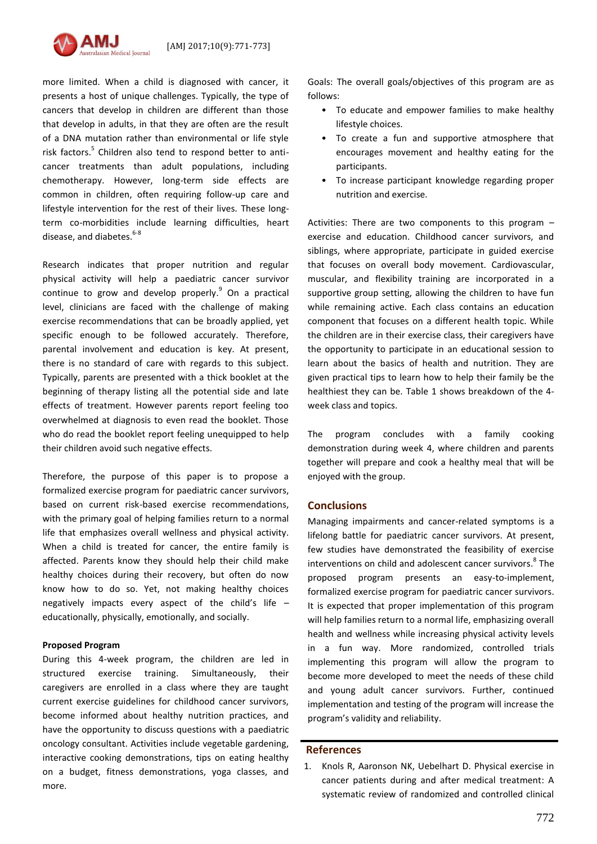

more limited. When a child is diagnosed with cancer, it presents a host of unique challenges. Typically, the type of cancers that develop in children are different than those that develop in adults, in that they are often are the result of a DNA mutation rather than environmental or life style risk factors.<sup>5</sup> Children also tend to respond better to anticancer treatments than adult populations, including chemotherapy. However, long-term side effects are common in children, often requiring follow-up care and lifestyle intervention for the rest of their lives. These longterm co-morbidities include learning difficulties, heart disease, and diabetes.<sup>6-8</sup>

Research indicates that proper nutrition and regular physical activity will help a paediatric cancer survivor continue to grow and develop properly.<sup>9</sup> On a practical level, clinicians are faced with the challenge of making exercise recommendations that can be broadly applied, yet specific enough to be followed accurately. Therefore, parental involvement and education is key. At present, there is no standard of care with regards to this subject. Typically, parents are presented with a thick booklet at the beginning of therapy listing all the potential side and late effects of treatment. However parents report feeling too overwhelmed at diagnosis to even read the booklet. Those who do read the booklet report feeling unequipped to help their children avoid such negative effects.

Therefore, the purpose of this paper is to propose a formalized exercise program for paediatric cancer survivors, based on current risk-based exercise recommendations, with the primary goal of helping families return to a normal life that emphasizes overall wellness and physical activity. When a child is treated for cancer, the entire family is affected. Parents know they should help their child make healthy choices during their recovery, but often do now know how to do so. Yet, not making healthy choices negatively impacts every aspect of the child's life – educationally, physically, emotionally, and socially.

### **Proposed Program**

During this 4-week program, the children are led in structured exercise training. Simultaneously, their caregivers are enrolled in a class where they are taught current exercise guidelines for childhood cancer survivors, become informed about healthy nutrition practices, and have the opportunity to discuss questions with a paediatric oncology consultant. Activities include vegetable gardening, interactive cooking demonstrations, tips on eating healthy on a budget, fitness demonstrations, yoga classes, and more.

Goals: The overall goals/objectives of this program are as follows:

- To educate and empower families to make healthy lifestyle choices.
- To create a fun and supportive atmosphere that encourages movement and healthy eating for the participants.
- To increase participant knowledge regarding proper nutrition and exercise.

Activities: There are two components to this program – exercise and education. Childhood cancer survivors, and siblings, where appropriate, participate in guided exercise that focuses on overall body movement. Cardiovascular, muscular, and flexibility training are incorporated in a supportive group setting, allowing the children to have fun while remaining active. Each class contains an education component that focuses on a different health topic. While the children are in their exercise class, their caregivers have the opportunity to participate in an educational session to learn about the basics of health and nutrition. They are given practical tips to learn how to help their family be the healthiest they can be. Table 1 shows breakdown of the 4 week class and topics.

The program concludes with a family cooking demonstration during week 4, where children and parents together will prepare and cook a healthy meal that will be enjoyed with the group.

### **Conclusions**

Managing impairments and cancer-related symptoms is a lifelong battle for paediatric cancer survivors. At present, few studies have demonstrated the feasibility of exercise interventions on child and adolescent cancer survivors. 8 The proposed program presents an easy-to-implement, formalized exercise program for paediatric cancer survivors. It is expected that proper implementation of this program will help families return to a normal life, emphasizing overall health and wellness while increasing physical activity levels in a fun way. More randomized, controlled trials implementing this program will allow the program to become more developed to meet the needs of these child and young adult cancer survivors. Further, continued implementation and testing of the program will increase the program's validity and reliability.

#### **References**

1. Knols R, Aaronson NK, Uebelhart D. Physical exercise in cancer patients during and after medical treatment: A systematic review of randomized and controlled clinical